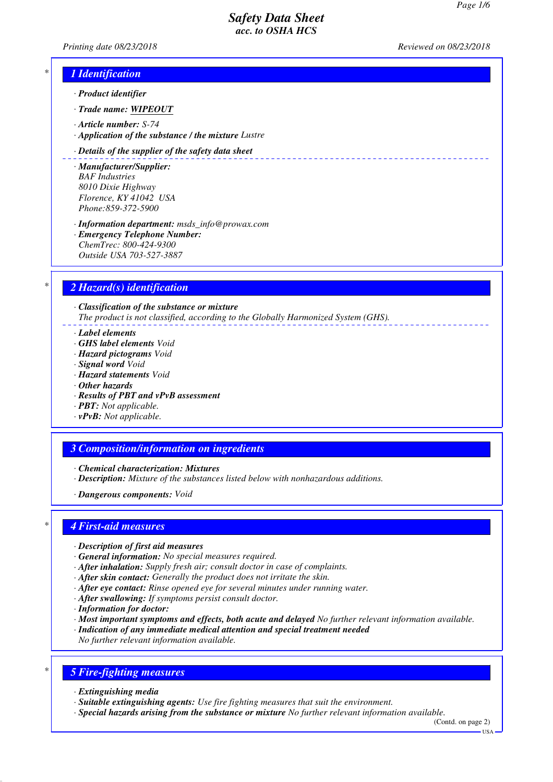*Printing date 08/23/2018 Reviewed on 08/23/2018*

## *\* 1 Identification*

- *· Product identifier*
- *· Trade name: WIPEOUT*
- *· Article number: S-74*
- *· Application of the substance / the mixture Lustre*

#### *· Details of the supplier of the safety data sheet*

- *· Manufacturer/Supplier: BAF Industries 8010 Dixie Highway Florence, KY 41042 USA Phone:859-372-5900*
- *· Information department: msds\_info@prowax.com · Emergency Telephone Number: ChemTrec: 800-424-9300 Outside USA 703-527-3887*

## *\* 2 Hazard(s) identification*

*· Classification of the substance or mixture The product is not classified, according to the Globally Harmonized System (GHS).*

- *· Label elements*
- *· GHS label elements Void*
- *· Hazard pictograms Void*
- *· Signal word Void*
- *· Hazard statements Void*
- *· Other hazards*
- *· Results of PBT and vPvB assessment*
- *· PBT: Not applicable.*
- *· vPvB: Not applicable.*

### *3 Composition/information on ingredients*

- *· Chemical characterization: Mixtures*
- *· Description: Mixture of the substances listed below with nonhazardous additions.*
- *· Dangerous components: Void*

### *\* 4 First-aid measures*

- *· Description of first aid measures*
- *· General information: No special measures required.*
- *· After inhalation: Supply fresh air; consult doctor in case of complaints.*
- *· After skin contact: Generally the product does not irritate the skin.*
- *· After eye contact: Rinse opened eye for several minutes under running water.*
- *· After swallowing: If symptoms persist consult doctor.*
- *· Information for doctor:*
- *· Most important symptoms and effects, both acute and delayed No further relevant information available.*
- *· Indication of any immediate medical attention and special treatment needed*
- *No further relevant information available.*

# *\* 5 Fire-fighting measures*

- *· Extinguishing media*
- *· Suitable extinguishing agents: Use fire fighting measures that suit the environment.*
- *· Special hazards arising from the substance or mixture No further relevant information available.*

(Contd. on page 2)  $-1$ ISA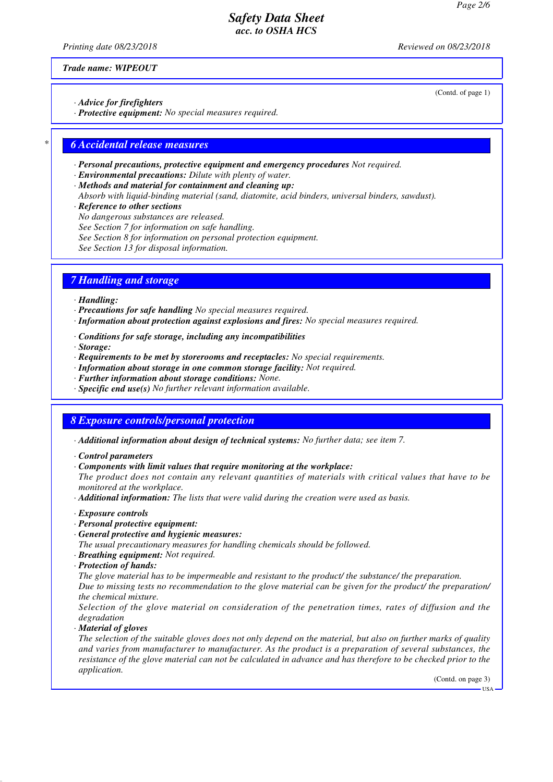*Printing date 08/23/2018 Reviewed on 08/23/2018*

(Contd. of page 1)

*Trade name: WIPEOUT*

*· Advice for firefighters*

*· Protective equipment: No special measures required.*

### *\* 6 Accidental release measures*

- *· Personal precautions, protective equipment and emergency procedures Not required.*
- *· Environmental precautions: Dilute with plenty of water.*
- *· Methods and material for containment and cleaning up:*
- *Absorb with liquid-binding material (sand, diatomite, acid binders, universal binders, sawdust).*
- *· Reference to other sections*
- *No dangerous substances are released.*
- *See Section 7 for information on safe handling.*
- *See Section 8 for information on personal protection equipment.*
- *See Section 13 for disposal information.*

### *7 Handling and storage*

#### *· Handling:*

- *· Precautions for safe handling No special measures required.*
- *· Information about protection against explosions and fires: No special measures required.*
- *· Conditions for safe storage, including any incompatibilities*
- *· Storage:*
- *· Requirements to be met by storerooms and receptacles: No special requirements.*
- *· Information about storage in one common storage facility: Not required.*
- *· Further information about storage conditions: None.*
- *· Specific end use(s) No further relevant information available.*

### *8 Exposure controls/personal protection*

- *· Additional information about design of technical systems: No further data; see item 7.*
- *· Control parameters*
- *· Components with limit values that require monitoring at the workplace:*
- *The product does not contain any relevant quantities of materials with critical values that have to be monitored at the workplace.*
- *· Additional information: The lists that were valid during the creation were used as basis.*
- *· Exposure controls*
- *· Personal protective equipment:*
- *· General protective and hygienic measures:*

*The usual precautionary measures for handling chemicals should be followed.*

- *· Breathing equipment: Not required.*
- *· Protection of hands:*

*The glove material has to be impermeable and resistant to the product/ the substance/ the preparation.*

*Due to missing tests no recommendation to the glove material can be given for the product/ the preparation/ the chemical mixture.*

*Selection of the glove material on consideration of the penetration times, rates of diffusion and the degradation*

*· Material of gloves*

*The selection of the suitable gloves does not only depend on the material, but also on further marks of quality and varies from manufacturer to manufacturer. As the product is a preparation of several substances, the resistance of the glove material can not be calculated in advance and has therefore to be checked prior to the application.*

(Contd. on page 3)

USA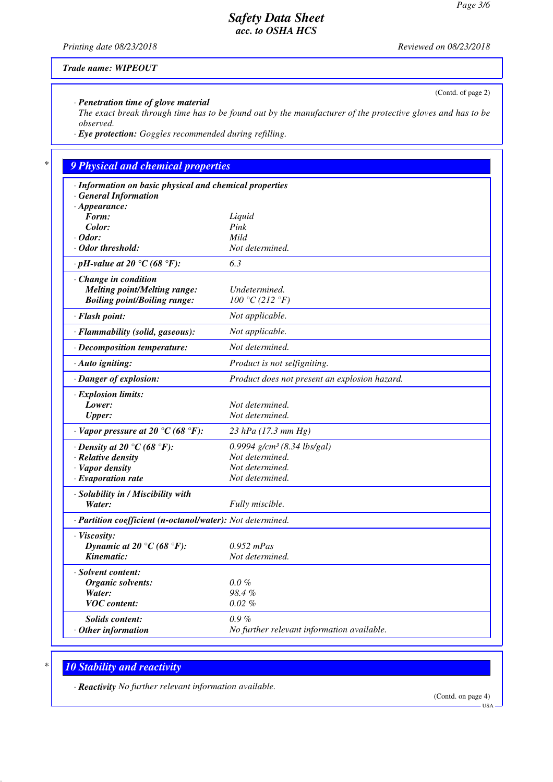*Printing date 08/23/2018 Reviewed on 08/23/2018*

(Contd. of page 2)

*Trade name: WIPEOUT*

*· Penetration time of glove material*

*The exact break through time has to be found out by the manufacturer of the protective gloves and has to be observed.*

*· Eye protection: Goggles recommended during refilling.*

# *\* 9 Physical and chemical properties*

| · Information on basic physical and chemical properties    |                                               |
|------------------------------------------------------------|-----------------------------------------------|
| · General Information                                      |                                               |
| $\cdot$ Appearance:                                        |                                               |
| Form:                                                      | Liquid                                        |
| Color:                                                     | Pink                                          |
| $\cdot$ Odor:                                              | Mild                                          |
| · Odor threshold:                                          | Not determined.                               |
| $\cdot$ pH-value at 20 °C (68 °F):                         | 6.3                                           |
| · Change in condition                                      |                                               |
| <b>Melting point/Melting range:</b>                        | Undetermined.                                 |
| <b>Boiling point/Boiling range:</b>                        | 100 °C (212 °F)                               |
| · Flash point:                                             | Not applicable.                               |
| · Flammability (solid, gaseous):                           | Not applicable.                               |
| · Decomposition temperature:                               | Not determined.                               |
| $\cdot$ Auto igniting:                                     | Product is not selfigniting.                  |
| · Danger of explosion:                                     | Product does not present an explosion hazard. |
| · Explosion limits:                                        |                                               |
| Lower:                                                     | Not determined.                               |
| Upper:                                                     | Not determined.                               |
| $\cdot$ Vapor pressure at 20 °C (68 °F):                   | 23 hPa (17.3 mm Hg)                           |
| $\cdot$ Density at 20 °C (68 °F):                          | 0.9994 $g/cm^3$ (8.34 lbs/gal)                |
| · Relative density                                         | Not determined.                               |
| · Vapor density                                            | Not determined.                               |
| $\cdot$ Evaporation rate                                   | Not determined.                               |
| · Solubility in / Miscibility with                         |                                               |
| Water:                                                     | Fully miscible.                               |
| · Partition coefficient (n-octanol/water): Not determined. |                                               |
| · Viscosity:                                               |                                               |
| Dynamic at 20 °C (68 °F):                                  | $0.952$ mPas                                  |
| Kinematic:                                                 | Not determined.                               |
| · Solvent content:                                         |                                               |
| Organic solvents:                                          | $0.0\%$                                       |
| Water:                                                     | 98.4%                                         |
| <b>VOC</b> content:                                        | $0.02\%$                                      |
| <b>Solids content:</b>                                     | $0.9\%$                                       |
| $\cdot$ Other information                                  | No further relevant information available.    |
|                                                            |                                               |

# *\* 10 Stability and reactivity*

*· Reactivity No further relevant information available.*

(Contd. on page 4)

USA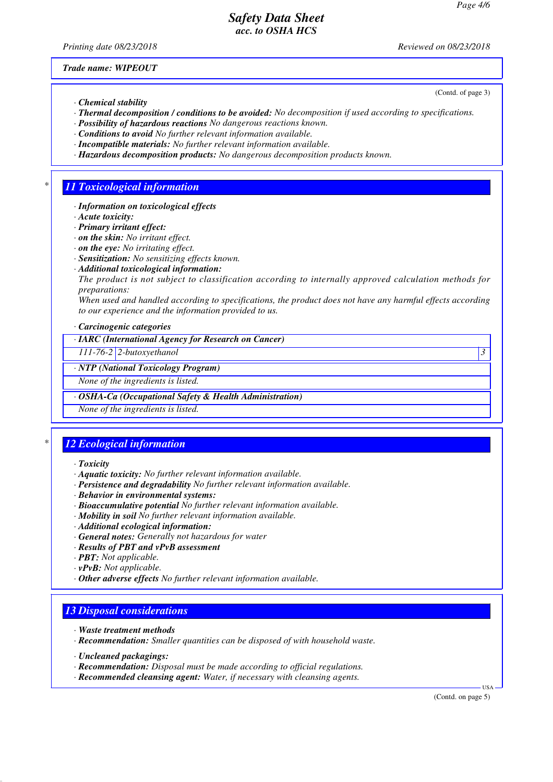*Printing date 08/23/2018 Reviewed on 08/23/2018*

(Contd. of page 3)

*Trade name: WIPEOUT*

- *· Chemical stability*
- *· Thermal decomposition / conditions to be avoided: No decomposition if used according to specifications.*
- *· Possibility of hazardous reactions No dangerous reactions known.*
- *· Conditions to avoid No further relevant information available.*
- *· Incompatible materials: No further relevant information available.*
- *· Hazardous decomposition products: No dangerous decomposition products known.*

### *\* 11 Toxicological information*

- *· Information on toxicological effects*
- *· Acute toxicity:*
- *· Primary irritant effect:*
- *· on the skin: No irritant effect.*
- *· on the eye: No irritating effect.*
- *· Sensitization: No sensitizing effects known.*
- *· Additional toxicological information:*
- *The product is not subject to classification according to internally approved calculation methods for preparations:*

*When used and handled according to specifications, the product does not have any harmful effects according to our experience and the information provided to us.*

*· Carcinogenic categories*

*· IARC (International Agency for Research on Cancer)*

*111-76-2 2-butoxyethanol 3* 

#### *· NTP (National Toxicology Program)*

*None of the ingredients is listed.*

*· OSHA-Ca (Occupational Safety & Health Administration)*

*None of the ingredients is listed.*

# *\* 12 Ecological information*

- *· Toxicity*
- *· Aquatic toxicity: No further relevant information available.*
- *· Persistence and degradability No further relevant information available.*
- *· Behavior in environmental systems:*
- *· Bioaccumulative potential No further relevant information available.*
- *· Mobility in soil No further relevant information available.*
- *· Additional ecological information:*
- *· General notes: Generally not hazardous for water*
- *· Results of PBT and vPvB assessment*
- *· PBT: Not applicable.*
- *· vPvB: Not applicable.*
- *· Other adverse effects No further relevant information available.*

## *13 Disposal considerations*

- *· Waste treatment methods*
- *· Recommendation: Smaller quantities can be disposed of with household waste.*
- *· Uncleaned packagings:*
- *· Recommendation: Disposal must be made according to official regulations.*
- *· Recommended cleansing agent: Water, if necessary with cleansing agents.*

(Contd. on page 5)

USA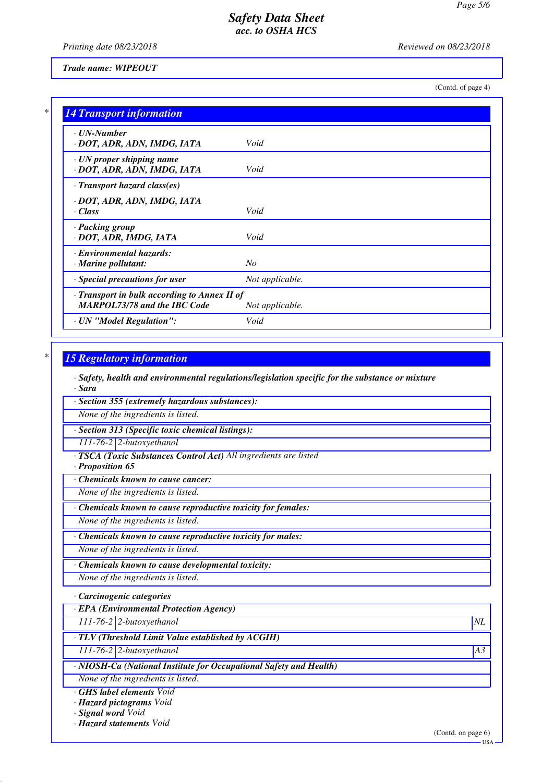*Printing date 08/23/2018 Reviewed on 08/23/2018*

*Trade name: WIPEOUT*

(Contd. of page 4)

| $\cdot$ UN-Number                                  |                 |
|----------------------------------------------------|-----------------|
| · DOT, ADR, ADN, IMDG, IATA                        | Void            |
| · UN proper shipping name                          |                 |
| · DOT, ADR, ADN, IMDG, IATA                        | Void            |
| $\cdot$ Transport hazard class(es)                 |                 |
| · DOT, ADR, ADN, IMDG, IATA                        |                 |
| · Class                                            | Void            |
| · Packing group                                    |                 |
| · DOT, ADR, IMDG, IATA                             | Void            |
| · Environmental hazards:                           |                 |
| $\cdot$ Marine pollutant:                          | No              |
| · Special precautions for user                     | Not applicable. |
| $\cdot$ Transport in bulk according to Annex II of |                 |
| <b>MARPOL73/78 and the IBC Code</b>                | Not applicable. |

### *\* 15 Regulatory information*

*· Safety, health and environmental regulations/legislation specific for the substance or mixture · Sara*

*· Section 355 (extremely hazardous substances):*

*None of the ingredients is listed.*

*· Section 313 (Specific toxic chemical listings):*

*111-76-2 2-butoxyethanol*

*· TSCA (Toxic Substances Control Act) All ingredients are listed*

*· Proposition 65*

*· Chemicals known to cause cancer:*

*None of the ingredients is listed.*

*· Chemicals known to cause reproductive toxicity for females:*

*None of the ingredients is listed.*

*· Chemicals known to cause reproductive toxicity for males:*

*None of the ingredients is listed.*

*· Chemicals known to cause developmental toxicity:*

*None of the ingredients is listed.*

*· Carcinogenic categories*

*· EPA (Environmental Protection Agency)*

*111-76-2 2-butoxyethanol NL*

*· TLV (Threshold Limit Value established by ACGIH)*

*111-76-2 2-butoxyethanol A3*

*· NIOSH-Ca (National Institute for Occupational Safety and Health)*

*None of the ingredients is listed.*

*· GHS label elements Void*

*· Hazard pictograms Void*

*· Signal word Void*

*· Hazard statements Void*